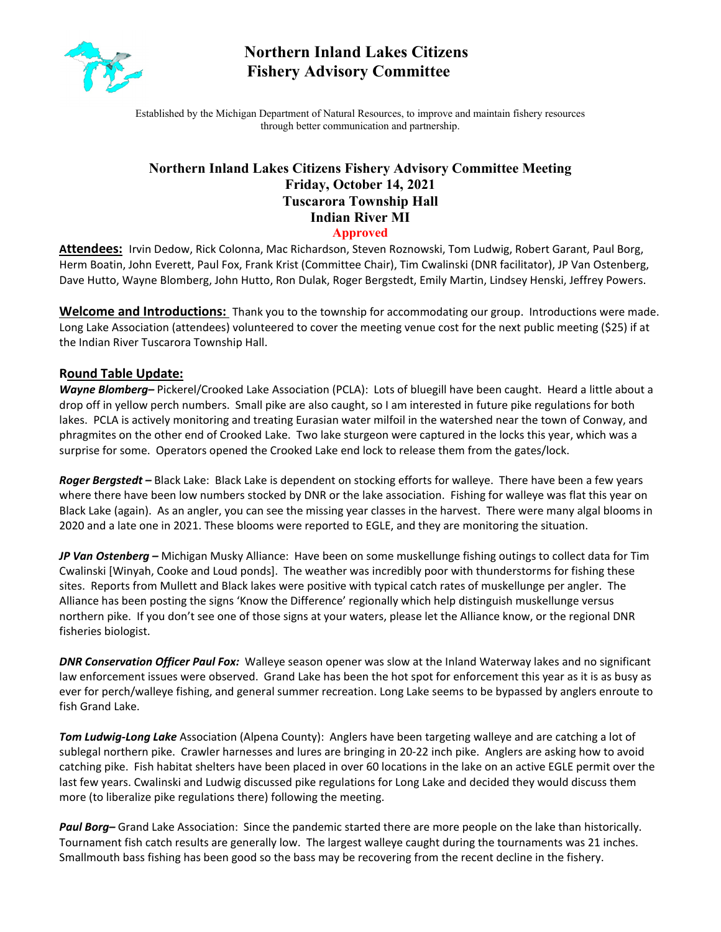

# **Northern Inland Lakes Citizens Fishery Advisory Committee**

Established by the Michigan Department of Natural Resources, to improve and maintain fishery resources through better communication and partnership.

# **Northern Inland Lakes Citizens Fishery Advisory Committee Meeting Friday, October 14, 2021 Tuscarora Township Hall Indian River MI**

**Approved**

**Attendees:** Irvin Dedow, Rick Colonna, Mac Richardson, Steven Roznowski, Tom Ludwig, Robert Garant, Paul Borg, Herm Boatin, John Everett, Paul Fox, Frank Krist (Committee Chair), Tim Cwalinski (DNR facilitator), JP Van Ostenberg, Dave Hutto, Wayne Blomberg, John Hutto, Ron Dulak, Roger Bergstedt, Emily Martin, Lindsey Henski, Jeffrey Powers.

**Welcome and Introductions:** Thank you to the township for accommodating our group. Introductions were made. Long Lake Association (attendees) volunteered to cover the meeting venue cost for the next public meeting (\$25) if at the Indian River Tuscarora Township Hall.

#### **Round Table Update:**

*Wayne Blomberg–* Pickerel/Crooked Lake Association (PCLA): Lots of bluegill have been caught. Heard a little about a drop off in yellow perch numbers. Small pike are also caught, so I am interested in future pike regulations for both lakes. PCLA is actively monitoring and treating Eurasian water milfoil in the watershed near the town of Conway, and phragmites on the other end of Crooked Lake. Two lake sturgeon were captured in the locks this year, which was a surprise for some. Operators opened the Crooked Lake end lock to release them from the gates/lock.

*Roger Bergstedt –* Black Lake: Black Lake is dependent on stocking efforts for walleye. There have been a few years where there have been low numbers stocked by DNR or the lake association. Fishing for walleye was flat this year on Black Lake (again). As an angler, you can see the missing year classes in the harvest. There were many algal blooms in 2020 and a late one in 2021. These blooms were reported to EGLE, and they are monitoring the situation.

*JP Van Ostenberg –* Michigan Musky Alliance: Have been on some muskellunge fishing outings to collect data for Tim Cwalinski [Winyah, Cooke and Loud ponds]. The weather was incredibly poor with thunderstorms for fishing these sites. Reports from Mullett and Black lakes were positive with typical catch rates of muskellunge per angler. The Alliance has been posting the signs 'Know the Difference' regionally which help distinguish muskellunge versus northern pike. If you don't see one of those signs at your waters, please let the Alliance know, or the regional DNR fisheries biologist.

*DNR Conservation Officer Paul Fox:* Walleye season opener was slow at the Inland Waterway lakes and no significant law enforcement issues were observed. Grand Lake has been the hot spot for enforcement this year as it is as busy as ever for perch/walleye fishing, and general summer recreation. Long Lake seems to be bypassed by anglers enroute to fish Grand Lake.

*Tom Ludwig-Long Lake* Association (Alpena County): Anglers have been targeting walleye and are catching a lot of sublegal northern pike. Crawler harnesses and lures are bringing in 20-22 inch pike. Anglers are asking how to avoid catching pike. Fish habitat shelters have been placed in over 60 locations in the lake on an active EGLE permit over the last few years. Cwalinski and Ludwig discussed pike regulations for Long Lake and decided they would discuss them more (to liberalize pike regulations there) following the meeting.

*Paul Borg–* Grand Lake Association: Since the pandemic started there are more people on the lake than historically. Tournament fish catch results are generally low. The largest walleye caught during the tournaments was 21 inches. Smallmouth bass fishing has been good so the bass may be recovering from the recent decline in the fishery.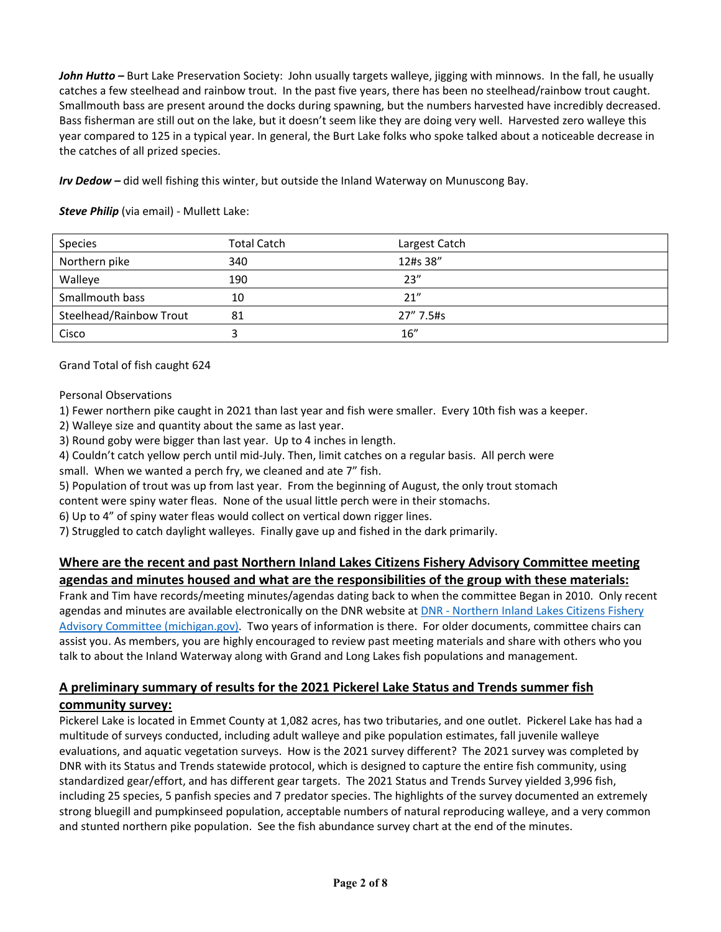*John Hutto –* Burt Lake Preservation Society: John usually targets walleye, jigging with minnows. In the fall, he usually catches a few steelhead and rainbow trout. In the past five years, there has been no steelhead/rainbow trout caught. Smallmouth bass are present around the docks during spawning, but the numbers harvested have incredibly decreased. Bass fisherman are still out on the lake, but it doesn't seem like they are doing very well. Harvested zero walleye this year compared to 125 in a typical year. In general, the Burt Lake folks who spoke talked about a noticeable decrease in the catches of all prized species.

*Irv Dedow –* did well fishing this winter, but outside the Inland Waterway on Munuscong Bay.

| Species                 | <b>Total Catch</b> | Largest Catch |
|-------------------------|--------------------|---------------|
| Northern pike           | 340                | 12#s 38"      |
| Walleye                 | 190                | 23''          |
| Smallmouth bass         | 10                 | 21"           |
| Steelhead/Rainbow Trout | 81                 | 27" 7.5#s     |
| Cisco                   |                    | 16''          |

*Steve Philip* (via email) - Mullett Lake:

Grand Total of fish caught 624

Personal Observations

1) Fewer northern pike caught in 2021 than last year and fish were smaller. Every 10th fish was a keeper.

2) Walleye size and quantity about the same as last year.

3) Round goby were bigger than last year. Up to 4 inches in length.

4) Couldn't catch yellow perch until mid-July. Then, limit catches on a regular basis. All perch were small. When we wanted a perch fry, we cleaned and ate 7" fish.

5) Population of trout was up from last year. From the beginning of August, the only trout stomach

content were spiny water fleas. None of the usual little perch were in their stomachs.

6) Up to 4" of spiny water fleas would collect on vertical down rigger lines.

7) Struggled to catch daylight walleyes. Finally gave up and fished in the dark primarily.

## **Where are the recent and past Northern Inland Lakes Citizens Fishery Advisory Committee meeting agendas and minutes housed and what are the responsibilities of the group with these materials:**

Frank and Tim have records/meeting minutes/agendas dating back to when the committee Began in 2010. Only recent agendas and minutes are available electronically on the DNR website at DNR - Northern Inland Lakes Citizens Fishery [Advisory Committee \(michigan.gov\).](https://www.michigan.gov/dnr/0,4570,7-350-79137_79763_79903_85163---,00.html) Two years of information is there. For older documents, committee chairs can assist you. As members, you are highly encouraged to review past meeting materials and share with others who you talk to about the Inland Waterway along with Grand and Long Lakes fish populations and management.

# **A preliminary summary of results for the 2021 Pickerel Lake Status and Trends summer fish**

### **community survey:**

Pickerel Lake is located in Emmet County at 1,082 acres, has two tributaries, and one outlet. Pickerel Lake has had a multitude of surveys conducted, including adult walleye and pike population estimates, fall juvenile walleye evaluations, and aquatic vegetation surveys. How is the 2021 survey different? The 2021 survey was completed by DNR with its Status and Trends statewide protocol, which is designed to capture the entire fish community, using standardized gear/effort, and has different gear targets. The 2021 Status and Trends Survey yielded 3,996 fish, including 25 species, 5 panfish species and 7 predator species. The highlights of the survey documented an extremely strong bluegill and pumpkinseed population, acceptable numbers of natural reproducing walleye, and a very common and stunted northern pike population. See the fish abundance survey chart at the end of the minutes.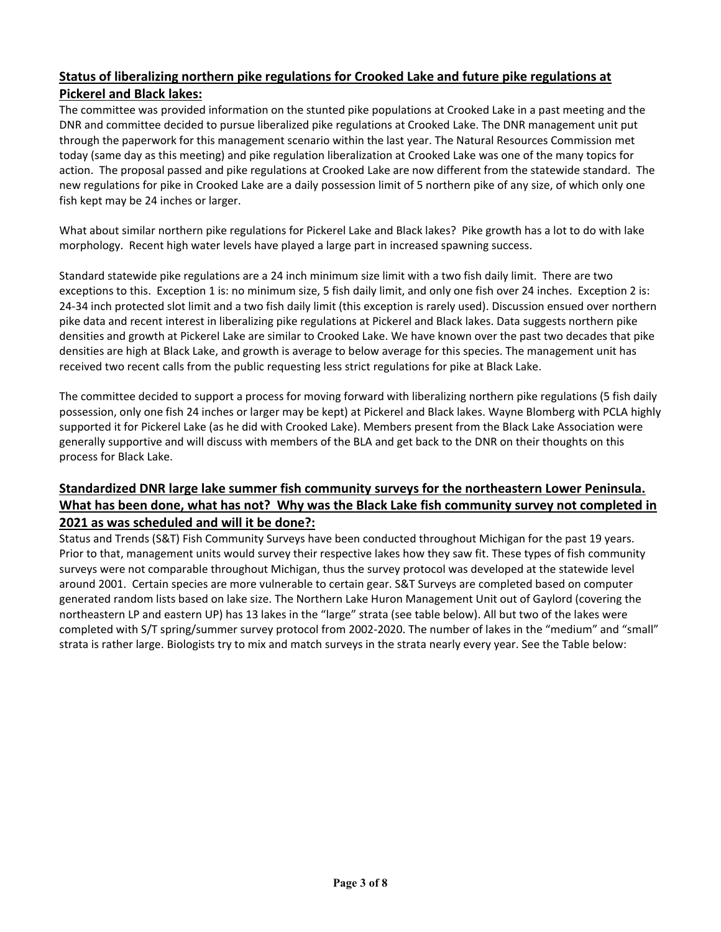# **Status of liberalizing northern pike regulations for Crooked Lake and future pike regulations at Pickerel and Black lakes:**

The committee was provided information on the stunted pike populations at Crooked Lake in a past meeting and the DNR and committee decided to pursue liberalized pike regulations at Crooked Lake. The DNR management unit put through the paperwork for this management scenario within the last year. The Natural Resources Commission met today (same day as this meeting) and pike regulation liberalization at Crooked Lake was one of the many topics for action. The proposal passed and pike regulations at Crooked Lake are now different from the statewide standard. The new regulations for pike in Crooked Lake are a daily possession limit of 5 northern pike of any size, of which only one fish kept may be 24 inches or larger.

What about similar northern pike regulations for Pickerel Lake and Black lakes? Pike growth has a lot to do with lake morphology. Recent high water levels have played a large part in increased spawning success.

Standard statewide pike regulations are a 24 inch minimum size limit with a two fish daily limit. There are two exceptions to this. Exception 1 is: no minimum size, 5 fish daily limit, and only one fish over 24 inches. Exception 2 is: 24-34 inch protected slot limit and a two fish daily limit (this exception is rarely used). Discussion ensued over northern pike data and recent interest in liberalizing pike regulations at Pickerel and Black lakes. Data suggests northern pike densities and growth at Pickerel Lake are similar to Crooked Lake. We have known over the past two decades that pike densities are high at Black Lake, and growth is average to below average for this species. The management unit has received two recent calls from the public requesting less strict regulations for pike at Black Lake.

The committee decided to support a process for moving forward with liberalizing northern pike regulations (5 fish daily possession, only one fish 24 inches or larger may be kept) at Pickerel and Black lakes. Wayne Blomberg with PCLA highly supported it for Pickerel Lake (as he did with Crooked Lake). Members present from the Black Lake Association were generally supportive and will discuss with members of the BLA and get back to the DNR on their thoughts on this process for Black Lake.

# **Standardized DNR large lake summer fish community surveys for the northeastern Lower Peninsula. What has been done, what has not? Why was the Black Lake fish community survey not completed in 2021 as was scheduled and will it be done?:**

Status and Trends (S&T) Fish Community Surveys have been conducted throughout Michigan for the past 19 years. Prior to that, management units would survey their respective lakes how they saw fit. These types of fish community surveys were not comparable throughout Michigan, thus the survey protocol was developed at the statewide level around 2001. Certain species are more vulnerable to certain gear. S&T Surveys are completed based on computer generated random lists based on lake size. The Northern Lake Huron Management Unit out of Gaylord (covering the northeastern LP and eastern UP) has 13 lakes in the "large" strata (see table below). All but two of the lakes were completed with S/T spring/summer survey protocol from 2002-2020. The number of lakes in the "medium" and "small" strata is rather large. Biologists try to mix and match surveys in the strata nearly every year. See the Table below: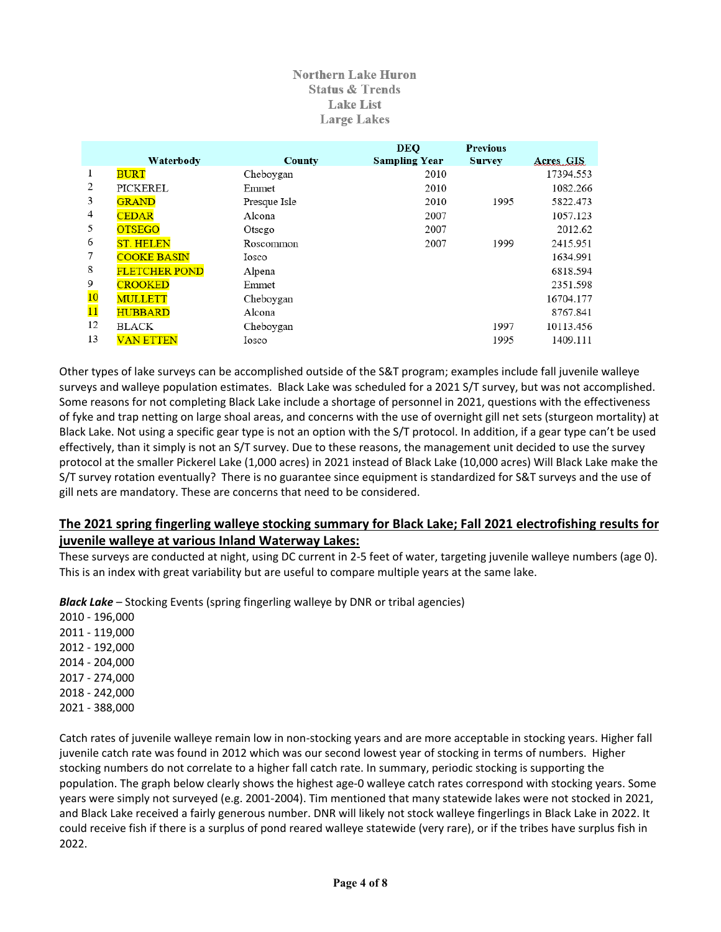#### **Northern Lake Huron Status & Trends Lake List Large Lakes**

|                 | Waterbody            | County       | <b>DEQ</b><br><b>Sampling Year</b> | <b>Previous</b><br><b>Survey</b> | Acres GIS |
|-----------------|----------------------|--------------|------------------------------------|----------------------------------|-----------|
| 1               | <b>BURT</b>          | Cheboygan    | 2010                               |                                  | 17394.553 |
| 2               | PICKEREL             | Emmet        | 2010                               |                                  | 1082.266  |
| 3               | <b>GRAND</b>         | Presque Isle | 2010                               | 1995                             | 5822.473  |
| 4               | <b>CEDAR</b>         | Alcona       | 2007                               |                                  | 1057.123  |
| 5               | <b>OTSEGO</b>        | Otsego       | 2007                               |                                  | 2012.62   |
| 6               | <b>ST. HELEN</b>     | Roscommon    | 2007                               | 1999                             | 2415.951  |
|                 | <b>COOKE BASIN</b>   | Iosco        |                                    |                                  | 1634.991  |
| 8               | <b>FLETCHER POND</b> | Alpena       |                                    |                                  | 6818.594  |
| 9               | <b>CROOKED</b>       | Emmet        |                                    |                                  | 2351.598  |
| 10              | <b>MULLETT</b>       | Cheboygan    |                                    |                                  | 16704.177 |
| $\overline{11}$ | <b>HUBBARD</b>       | Alcona       |                                    |                                  | 8767.841  |
| 12              | <b>BLACK</b>         | Cheboygan    |                                    | 1997                             | 10113.456 |
| 13              | <b>VAN ETTEN</b>     | Iosco        |                                    | 1995                             | 1409.111  |

Other types of lake surveys can be accomplished outside of the S&T program; examples include fall juvenile walleye surveys and walleye population estimates. Black Lake was scheduled for a 2021 S/T survey, but was not accomplished. Some reasons for not completing Black Lake include a shortage of personnel in 2021, questions with the effectiveness of fyke and trap netting on large shoal areas, and concerns with the use of overnight gill net sets (sturgeon mortality) at Black Lake. Not using a specific gear type is not an option with the S/T protocol. In addition, if a gear type can't be used effectively, than it simply is not an S/T survey. Due to these reasons, the management unit decided to use the survey protocol at the smaller Pickerel Lake (1,000 acres) in 2021 instead of Black Lake (10,000 acres) Will Black Lake make the S/T survey rotation eventually? There is no guarantee since equipment is standardized for S&T surveys and the use of gill nets are mandatory. These are concerns that need to be considered.

## **The 2021 spring fingerling walleye stocking summary for Black Lake; Fall 2021 electrofishing results for juvenile walleye at various Inland Waterway Lakes:**

These surveys are conducted at night, using DC current in 2-5 feet of water, targeting juvenile walleye numbers (age 0). This is an index with great variability but are useful to compare multiple years at the same lake.

**Black Lake** – Stocking Events (spring fingerling walleye by DNR or tribal agencies)

2010 - 196,000 2011 - 119,000 2012 - 192,000 2014 - 204,000 2017 - 274,000 2018 - 242,000 2021 - 388,000

Catch rates of juvenile walleye remain low in non-stocking years and are more acceptable in stocking years. Higher fall juvenile catch rate was found in 2012 which was our second lowest year of stocking in terms of numbers. Higher stocking numbers do not correlate to a higher fall catch rate. In summary, periodic stocking is supporting the population. The graph below clearly shows the highest age-0 walleye catch rates correspond with stocking years. Some years were simply not surveyed (e.g. 2001-2004). Tim mentioned that many statewide lakes were not stocked in 2021, and Black Lake received a fairly generous number. DNR will likely not stock walleye fingerlings in Black Lake in 2022. It could receive fish if there is a surplus of pond reared walleye statewide (very rare), or if the tribes have surplus fish in 2022.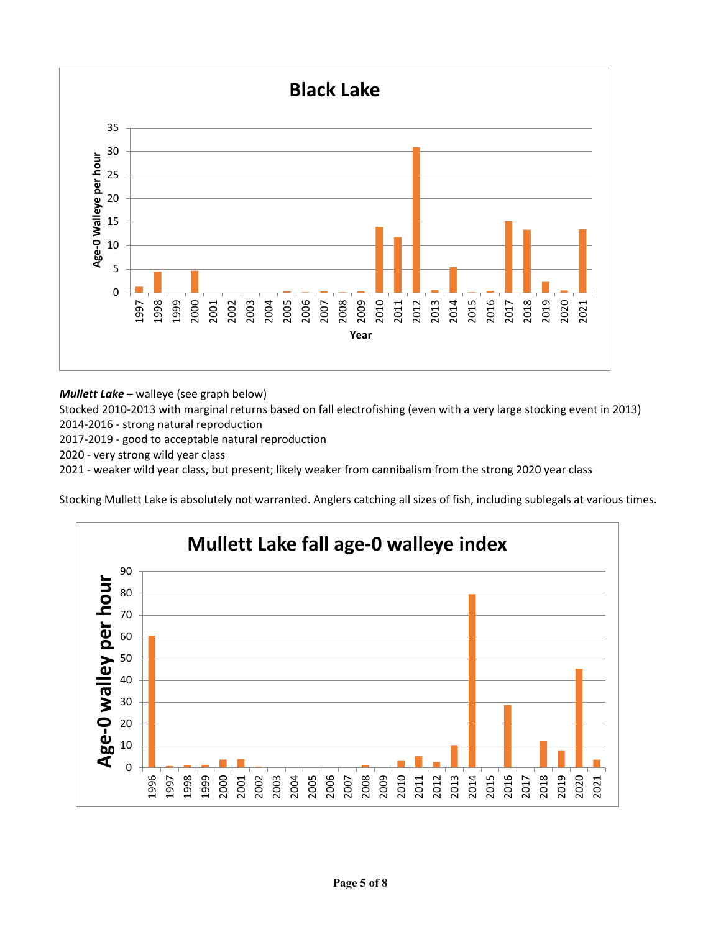

*Mullett Lake* – walleye (see graph below)

Stocked 2010-2013 with marginal returns based on fall electrofishing (even with a very large stocking event in 2013) 2014-2016 - strong natural reproduction

2017-2019 - good to acceptable natural reproduction

2020 - very strong wild year class

2021 - weaker wild year class, but present; likely weaker from cannibalism from the strong 2020 year class

Stocking Mullett Lake is absolutely not warranted. Anglers catching all sizes of fish, including sublegals at various times.

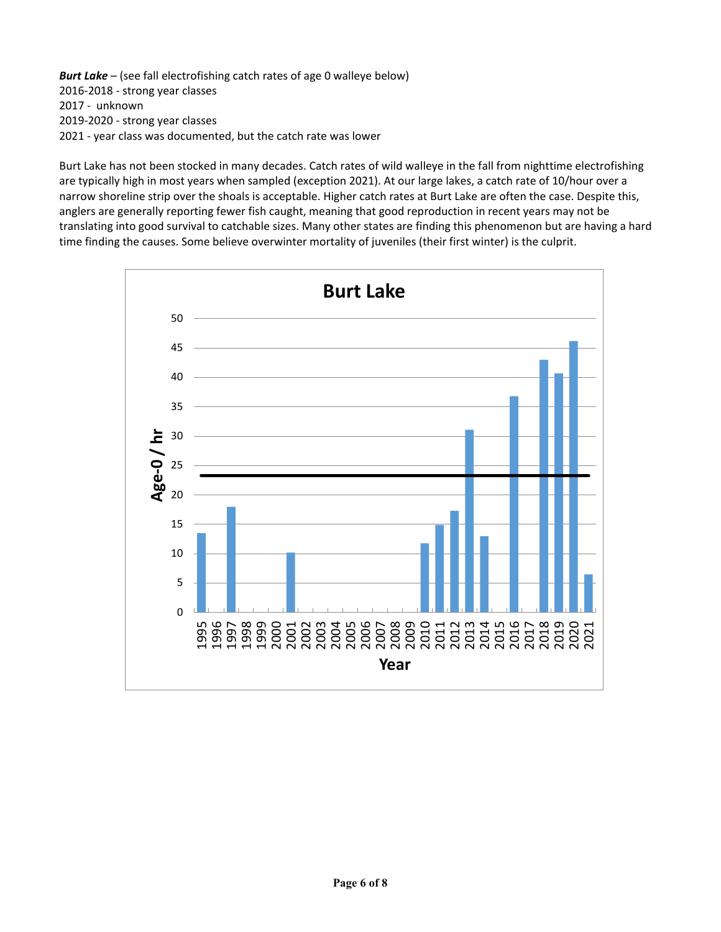*Burt Lake* – (see fall electrofishing catch rates of age 0 walleye below) 2016-2018 - strong year classes 2017 - unknown 2019-2020 - strong year classes 2021 - year class was documented, but the catch rate was lower

Burt Lake has not been stocked in many decades. Catch rates of wild walleye in the fall from nighttime electrofishing are typically high in most years when sampled (exception 2021). At our large lakes, a catch rate of 10/hour over a narrow shoreline strip over the shoals is acceptable. Higher catch rates at Burt Lake are often the case. Despite this, anglers are generally reporting fewer fish caught, meaning that good reproduction in recent years may not be translating into good survival to catchable sizes. Many other states are finding this phenomenon but are having a hard time finding the causes. Some believe overwinter mortality of juveniles (their first winter) is the culprit.

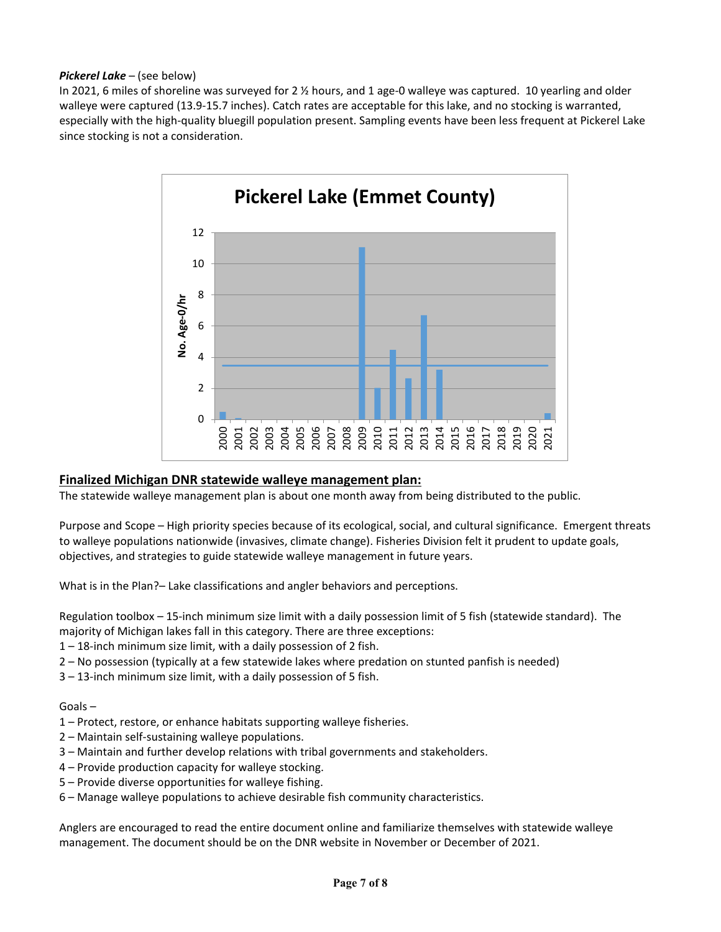#### *Pickerel Lake* – (see below)

In 2021, 6 miles of shoreline was surveyed for 2 % hours, and 1 age-0 walleye was captured. 10 yearling and older walleye were captured (13.9-15.7 inches). Catch rates are acceptable for this lake, and no stocking is warranted, especially with the high-quality bluegill population present. Sampling events have been less frequent at Pickerel Lake since stocking is not a consideration.



### **Finalized Michigan DNR statewide walleye management plan:**

The statewide walleye management plan is about one month away from being distributed to the public.

Purpose and Scope – High priority species because of its ecological, social, and cultural significance. Emergent threats to walleye populations nationwide (invasives, climate change). Fisheries Division felt it prudent to update goals, objectives, and strategies to guide statewide walleye management in future years.

What is in the Plan?– Lake classifications and angler behaviors and perceptions.

Regulation toolbox – 15-inch minimum size limit with a daily possession limit of 5 fish (statewide standard). The majority of Michigan lakes fall in this category. There are three exceptions:

- 1 18-inch minimum size limit, with a daily possession of 2 fish.
- 2 No possession (typically at a few statewide lakes where predation on stunted panfish is needed)
- 3 13-inch minimum size limit, with a daily possession of 5 fish.

#### Goals –

- 1 Protect, restore, or enhance habitats supporting walleye fisheries.
- 2 Maintain self-sustaining walleye populations.
- 3 Maintain and further develop relations with tribal governments and stakeholders.
- 4 Provide production capacity for walleye stocking.
- 5 Provide diverse opportunities for walleye fishing.
- 6 Manage walleye populations to achieve desirable fish community characteristics.

Anglers are encouraged to read the entire document online and familiarize themselves with statewide walleye management. The document should be on the DNR website in November or December of 2021.